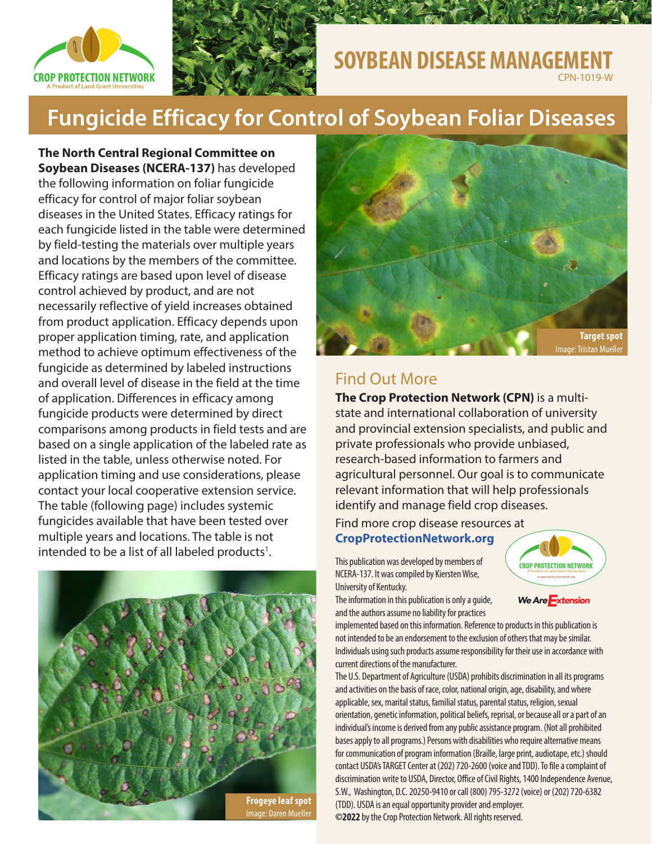



## **SOYBEAN DISEASE MANAGEMENT** CPN-1019-W

**Fungicide Efficacy for Control of Soybean Foliar Diseases**

**The North Central Regional Committee on Soybean Diseases (NCERA-137)** has developed the following information on foliar fungicide efficacy for control of major foliar soybean diseases in the United States. Efficacy ratings for each fungicide listed in the table were determined by field-testing the materials over multiple years and locations by the members of the committee. Efficacy ratings are based upon level of disease control achieved by product, and are not necessarily reflective of yield increases obtained from product application. Efficacy depends upon proper application timing, rate, and application method to achieve optimum effectiveness of the fungicide as determined by labeled instructions and overall level of disease in the field at the time of application. Differences in efficacy among fungicide products were determined by direct comparisons among products in field tests and are based on a single application of the labeled rate as listed in the table, unless otherwise noted. For application timing and use considerations, please contact your local cooperative extension service. The table (following page) includes systemic fungicides available that have been tested over multiple years and locations. The table is not intended to be a list of all labeled products<sup>1</sup>.





# Find Out More

**The Crop Protection Network (CPN)** is a multistate and international collaboration of university and provincial extension specialists, and public and private professionals who provide unbiased, research-based information to farmers and agricultural personnel. Our goal is to communicate relevant information that will help professionals identify and manage field crop diseases.

## Find more crop disease resources at

## **[CropProtectionNetwork.org](http://CropProtectionNetwork.org)**

This publication was developed by members of NCERA-137. It was compiled by Kiersten Wise, University of Kentucky.

The information in this publication is only a guide, and the authors assume no liability for practices

implemented based on this information. Reference to products in this publication is not intended to be an endorsement to the exclusion of others that may be similar. Individuals using such products assume responsibility for their use in accordance with current directions of the manufacturer.

The U.S. Department of Agriculture (USDA) prohibits discrimination in all its programs and activities on the basis of race, color, national origin, age, disability, and where applicable, sex, marital status, familial status, parental status, religion, sexual orientation, genetic information, political beliefs, reprisal, or because all or a part of an individual's income is derived from any public assistance program. (Not all prohibited bases apply to all programs.) Persons with disabilities who require alternative means for communication of program information (Braille, large print, audiotape, etc.) should contact USDA's TARGET Center at (202) 720-2600 (voice and TDD). To file a complaint of discrimination write to USDA, Director, Office of Civil Rights, 1400 Independence Avenue, S.W., Washington, D.C. 20250-9410 or call (800) 795-3272 (voice) or (202) 720-6382 (TDD). USDA is an equal opportunity provider and employer. **©2022** by the Crop Protection Network. All rights reserved.

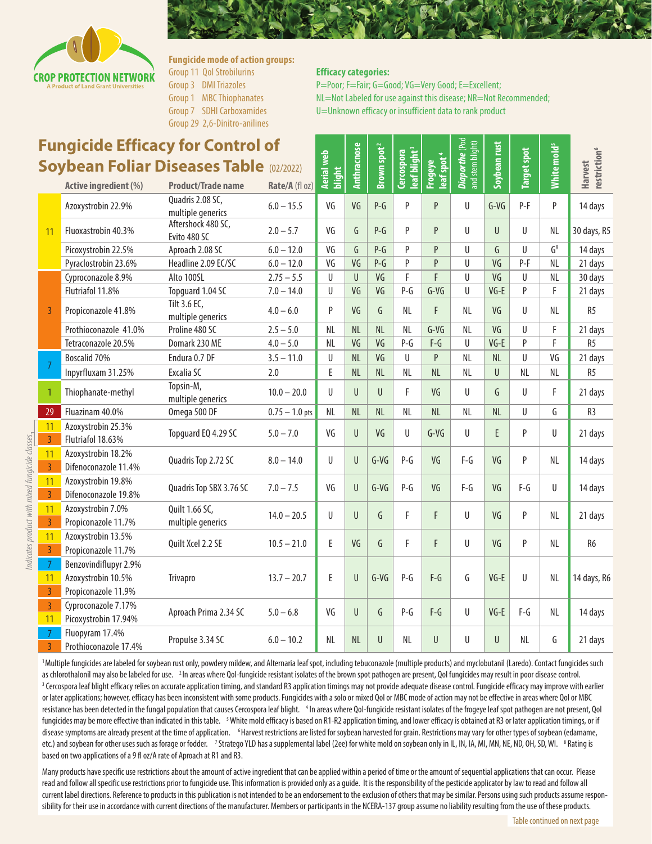

#### **Fungicide mode of action groups:** Group 11 QoI Strobilurins Group 3 DMI Triazoles Group 1 MBC Thiophanates Group 7 SDHI Carboxamides

- 
- Group 29 2,6-Dinitro-anilines

### **Efficacy categories:**

P=Poor; F=Fair; G=Good; VG=Very Good; E=Excellent; NL=Not Labeled for use against this disease; NR=Not Recommended; U=Unknown efficacy or insufficient data to rank product

| <b>Fungicide Efficacy for Control of</b>       |                                                                    |                                       |                  |                             |              |                         |                                        |                                   | <b>Diaporthe</b> (Pod<br>and stem blight) | Soybean rust |                    |                         |                                            |
|------------------------------------------------|--------------------------------------------------------------------|---------------------------------------|------------------|-----------------------------|--------------|-------------------------|----------------------------------------|-----------------------------------|-------------------------------------------|--------------|--------------------|-------------------------|--------------------------------------------|
| <b>Soybean Foliar Diseases Table (02/2022)</b> |                                                                    |                                       |                  |                             | Anthracnose  | Brown spot <sup>2</sup> | leaf blight <sup>3</sup><br>Cercospora | Frogeye<br>leaf spot <sup>4</sup> |                                           |              | <b>Target spot</b> | White mold <sup>5</sup> | restriction <sup>6</sup><br><b>Harvest</b> |
|                                                | <b>Active ingredient (%)</b>                                       | <b>Product/Trade name</b>             | Rate/A (fl oz)   | <b>Aerial web</b><br>blight |              |                         |                                        |                                   |                                           |              |                    |                         |                                            |
| 11                                             | Azoxystrobin 22.9%                                                 | Quadris 2.08 SC,<br>multiple generics | $6.0 - 15.5$     | VG                          | VG           | $P-G$                   | P                                      | P                                 | U                                         | $G-VG$       | $P-F$              | P                       | 14 days                                    |
|                                                | Fluoxastrobin 40.3%                                                | Aftershock 480 SC,<br>Evito 480 SC    | $2.0 - 5.7$      | VG                          | G            | $P-G$                   | P                                      | P                                 | U                                         | $\mathbf{U}$ | U                  | NL                      | 30 days, R5                                |
|                                                | Picoxystrobin 22.5%                                                | Aproach 2.08 SC                       | $6.0 - 12.0$     | VG                          | G            | $P-G$                   | P                                      | P                                 | $\mathsf{U}$                              | $\mathsf{G}$ | U                  | $G^8$                   | 14 days                                    |
|                                                | Pyraclostrobin 23.6%                                               | Headline 2.09 EC/SC                   | $6.0 - 12.0$     | VG                          | VG           | $P-G$                   | P                                      | P                                 | U                                         | VG           | $P-F$              | <b>NL</b>               | 21 days                                    |
| $\overline{3}$                                 | Cyproconazole 8.9%                                                 | Alto 100SL                            | $2.75 - 5.5$     | U                           | $\mathsf{U}$ | VG                      | F                                      | F                                 | U                                         | VG           | $\mathbf{U}$       | <b>NL</b>               | 30 days                                    |
|                                                | Flutriafol 11.8%                                                   | Topguard 1.04 SC                      | $7.0 - 14.0$     | U                           | VG           | VG                      | $P-G$                                  | $G-VG$                            | U                                         | $VG-E$       | P                  | F                       | 21 days                                    |
|                                                | Propiconazole 41.8%                                                | Tilt 3.6 EC,<br>multiple generics     | $4.0 - 6.0$      | P                           | VG           | G                       | <b>NL</b>                              | F                                 | NL                                        | VG           | $\mathbf{U}$       | <b>NL</b>               | R <sub>5</sub>                             |
|                                                | Prothioconazole 41.0%                                              | Proline 480 SC                        | $2.5 - 5.0$      | <b>NL</b>                   | NL           | NL                      | NL                                     | $G-VG$                            | <b>NL</b>                                 | VG           | U                  | F                       | 21 days                                    |
|                                                | Tetraconazole 20.5%                                                | Domark 230 ME                         | $4.0 - 5.0$      | NL                          | VG           | VG                      | $P-G$                                  | $F-G$                             | $\mathsf{U}$                              | $VG-E$       | P                  | Ë                       | R <sub>5</sub>                             |
| 7                                              | Boscalid 70%                                                       | Endura 0.7 DF                         | $3.5 - 11.0$     | U                           | NL           | VG                      | U                                      | P                                 | NL                                        | <b>NL</b>    | U                  | VG                      | 21 days                                    |
|                                                | Inpyrfluxam 31.25%                                                 | Excalia SC                            | 2.0              | E                           | NL           | NL                      | <b>NL</b>                              | NL                                | <b>NL</b>                                 | U            | <b>NL</b>          | <b>NL</b>               | R <sub>5</sub>                             |
| $\mathbf{1}$                                   | Thiophanate-methyl                                                 | Topsin-M,<br>multiple generics        | $10.0 - 20.0$    | U                           | $\mathbf{U}$ | U                       | F                                      | VG                                | $\mathbf{U}$                              | G            | $\mathbf{U}$       | F                       | 21 days                                    |
| 29                                             | Fluazinam 40.0%                                                    | Omega 500 DF                          | $0.75 - 1.0$ pts | <b>NL</b>                   | <b>NL</b>    | NL                      | <b>NL</b>                              | NL                                | <b>NL</b>                                 | <b>NL</b>    | $\mathbf{U}$       | G                       | R <sub>3</sub>                             |
| 11<br>$\overline{3}$                           | Azoxystrobin 25.3%<br>Flutriafol 18.63%                            | Topguard EQ 4.29 SC                   | $5.0 - 7.0$      | VG                          | $\mathbf{U}$ | VG                      | U                                      | $G-VG$                            | U                                         | E            | P                  | U                       | 21 days                                    |
| 11<br>$\overline{3}$                           | Azoxystrobin 18.2%<br>Difenoconazole 11.4%                         | Quadris Top 2.72 SC                   | $8.0 - 14.0$     | U                           | U            | $G-VG$                  | $P-G$                                  | VG                                | F-G                                       | VG           | P                  | <b>NL</b>               | 14 days                                    |
| 11<br>$\overline{3}$                           | Azoxystrobin 19.8%<br>Difenoconazole 19.8%                         | Quadris Top SBX 3.76 SC               | $7.0 - 7.5$      | VG                          | $\mathsf{U}$ | $G-VG$                  | $P-G$                                  | VG                                | $F-G$                                     | VG           | $F-G$              | U                       | 14 days                                    |
| 11<br>$\overline{3}$                           | Azoxystrobin 7.0%<br>Propiconazole 11.7%                           | Quilt 1.66 SC,<br>multiple generics   | $14.0 - 20.5$    | U                           | U            | G                       | F                                      | F                                 | U                                         | VG           | P                  | NL                      | 21 days                                    |
| 11<br>$\overline{3}$                           | Azoxystrobin 13.5%<br>Propiconazole 11.7%                          | Quilt Xcel 2.2 SE                     | $10.5 - 21.0$    | E                           | VG           | G                       | F                                      | F                                 | U                                         | VG           | P                  | NL                      | R <sub>6</sub>                             |
| $\overline{7}$<br>11<br>$\overline{3}$         | Benzovindiflupyr 2.9%<br>Azoxystrobin 10.5%<br>Propiconazole 11.9% | Trivapro                              | $13.7 - 20.7$    | E.                          | U            | $G-VG$                  | $P-G$                                  | $F-G$                             | G                                         | $VG-E$       | U                  | <b>NL</b>               | 14 days, R6                                |
| $\overline{3}$<br>11                           | Cyproconazole 7.17%<br>Picoxystrobin 17.94%                        | Aproach Prima 2.34 SC                 | $5.0 - 6.8$      | VG                          | U            | G                       | $P-G$                                  | $F-G$                             | U                                         | $VG-E$       | $F-G$              | NL                      | 14 days                                    |
| 7<br>$\overline{3}$                            | Fluopyram 17.4%<br>Prothioconazole 17.4%                           | Propulse 3.34 SC                      | $6.0 - 10.2$     | NL                          | NL           | U                       | NL                                     | U                                 | U                                         | U            | NL                 | G                       | 21 days                                    |

1 Multiple fungicides are labeled for soybean rust only, powdery mildew, and Alternaria leaf spot, including tebuconazole (multiple products) and myclobutanil (Laredo). Contact fungicides such as chlorothalonil may also be labeled for use. <sup>2</sup> In areas where QoI-fungicide resistant isolates of the brown spot pathogen are present, QoI fungicides may result in poor disease control. <sup>3</sup> Cercospora leaf blight efficacy relies on accurate application timing, and standard R3 application timings may not provide adequate disease control. Fungicide efficacy may improve with earlier or later applications; however, efficacy has been inconsistent with some products. Fungicides with a solo or mixed QoI or MBC mode of action may not be effective in areas where QoI or MBC resistance has been detected in the fungal population that causes Cercospora leaf blight. <sup>4</sup> In areas where Qol-fungicide resistant isolates of the frogeye leaf spot pathogen are not present, Qol fungicides may be more effective than indicated in this table. <sup>5</sup> White mold efficacy is based on R1-R2 application timing, and lower efficacy is obtained at R3 or later application timings, or if disease symptoms are already present at the time of application. <sup>6</sup> Harvest restrictions are listed for soybean harvested for grain. Restrictions may vary for other types of soybean (edamame, etc.) and soybean for other uses such as forage or fodder. <sup>7</sup>Stratego YLD has a supplemental label (2ee) for white mold on soybean only in IL, IN, IA, MI, MN, NE, ND, OH, SD, WI.  $\,$  8 Rating is based on two applications of a 9 fl oz/A rate of Aproach at R1 and R3.

Many products have specific use restrictions about the amount of active ingredient that can be applied within a period of time or the amount of sequential applications that can occur. Please read and follow all specific use restrictions prior to fungicide use. This information is provided only as a guide. It is the responsibility of the pesticide applicator by law to read and follow all current label directions. Reference to products in this publication is not intended to be an endorsement to the exclusion of others that may be similar. Persons using such products assume responsibility for their use in accordance with current directions of the manufacturer. Members or participants in the NCERA-137 group assume no liability resulting from the use of these products.